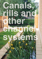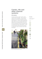# **Canals, rills and other channel systems**

# **Description**

Canals and rills are open surface water channels with hard edges. They can have a variety of cross sections to suit the urban landscape and can also be planted to provide water treatment. In dense urban developments where space can be at a premium they are an effective way of providing SUDS and can also act as pre-treatment to remove silt before water is conveyed into further SUDS features. There are many SUDS schemes that use channels in imaginative ways to enhance hard urban landscapes.



### *Rill in a housing development, Stroud*

### **Bene fi ts**

Canals, rills and other channel systems

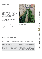### **How they work**

Rills and canals can be used to collect water directly from hard surfaces or they can be used to convey water, for example where it has been collected via a permeable pavement. They are simply channels that water flows along.

Treatment channels collect water, slow it down and provide storage for silt and oil that is captured. The outlet is designed to act as a mini oil separator thus the channel is very effective at treating pollution.

# **Cambridge specifi c design considerations**

Channels and rills are essentially an engineering feature, although wherever possible they should be planted to enhance their visual appeal and treatment effectiveness. In many cases there will be opportunities to integrate them into the landscape in innovative ways that enhance the local environment.



*Canal with planting in a high density housing development, Stamford*

# Canals, rills and other channel systems **52**

### **Practical issues and solutions**

It is easy to construct canals, rills and treatment channels that meet the aspirations of the City Council. However, many problems that have occurred with these systems are due to a lack of attention during design and construction. Some of the most common pitfalls and solutions are discussed below. CIRIA publication C698: Site Handbook for the Construction of SUDS also contains practical construction help and advice.

| <b>Problem:</b> Sparse planting in canals                                                                  | <b>Solution:</b> Good site supervision and communication<br>to the staff and adherence to the SUDS planting<br>specification.                                         |
|------------------------------------------------------------------------------------------------------------|-----------------------------------------------------------------------------------------------------------------------------------------------------------------------|
| <b>Problem:</b> Silt build up in canals often occurs due<br>to incorrect planting of the surrounding area. | <b>Solution:</b> Planting of adjacent landscape areas<br>should provide good ground cover and bind the soil<br>together. Bare soil or mulch areas are not acceptable. |